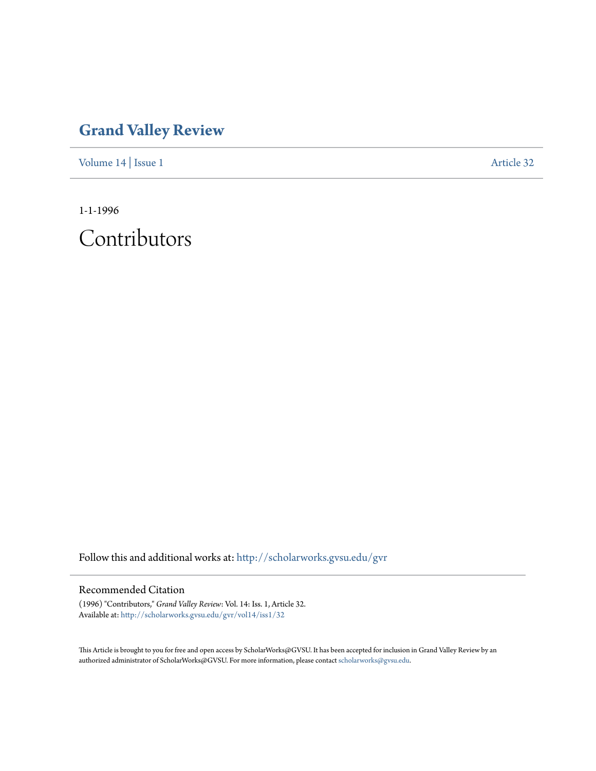## **[Grand Valley Review](http://scholarworks.gvsu.edu/gvr?utm_source=scholarworks.gvsu.edu%2Fgvr%2Fvol14%2Fiss1%2F32&utm_medium=PDF&utm_campaign=PDFCoverPages)**

[Volume 14](http://scholarworks.gvsu.edu/gvr/vol14?utm_source=scholarworks.gvsu.edu%2Fgvr%2Fvol14%2Fiss1%2F32&utm_medium=PDF&utm_campaign=PDFCoverPages) | [Issue 1](http://scholarworks.gvsu.edu/gvr/vol14/iss1?utm_source=scholarworks.gvsu.edu%2Fgvr%2Fvol14%2Fiss1%2F32&utm_medium=PDF&utm_campaign=PDFCoverPages) [Article 32](http://scholarworks.gvsu.edu/gvr/vol14/iss1/32?utm_source=scholarworks.gvsu.edu%2Fgvr%2Fvol14%2Fiss1%2F32&utm_medium=PDF&utm_campaign=PDFCoverPages)

1-1-1996

Contributors

Follow this and additional works at: [http://scholarworks.gvsu.edu/gvr](http://scholarworks.gvsu.edu/gvr?utm_source=scholarworks.gvsu.edu%2Fgvr%2Fvol14%2Fiss1%2F32&utm_medium=PDF&utm_campaign=PDFCoverPages)

## Recommended Citation

(1996) "Contributors," *Grand Valley Review*: Vol. 14: Iss. 1, Article 32. Available at: [http://scholarworks.gvsu.edu/gvr/vol14/iss1/32](http://scholarworks.gvsu.edu/gvr/vol14/iss1/32?utm_source=scholarworks.gvsu.edu%2Fgvr%2Fvol14%2Fiss1%2F32&utm_medium=PDF&utm_campaign=PDFCoverPages)

This Article is brought to you for free and open access by ScholarWorks@GVSU. It has been accepted for inclusion in Grand Valley Review by an authorized administrator of ScholarWorks@GVSU. For more information, please contact [scholarworks@gvsu.edu.](mailto:scholarworks@gvsu.edu)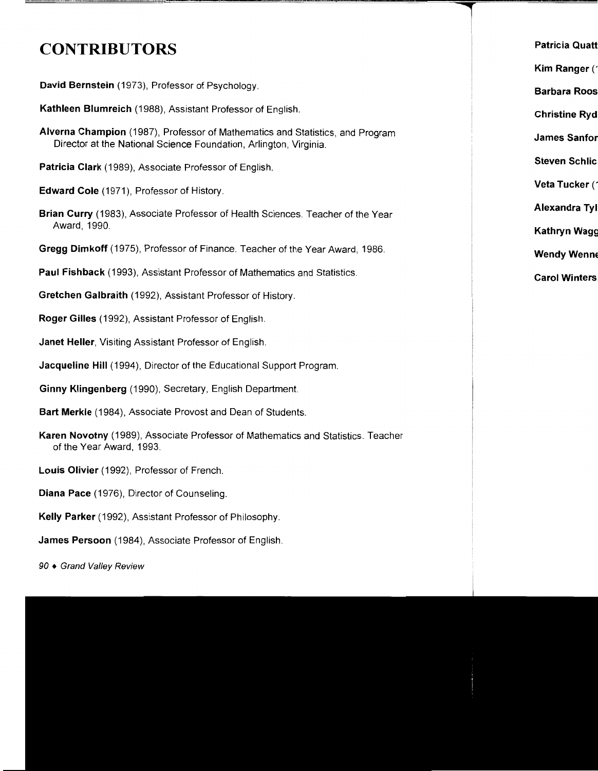## **CONTRIBUTORS**

**David Bernstein** (1973), Professor of Psychology.

**Kathleen Blumreich** (1988), Assistant Professor of English.

**Alverna Champion** (1987), Professor of Mathematics and Statistics, and Program Director at the National Science Foundation, Arlington, Virginia.

**Patricia Clark** (1989), Associate Professor of English.

**Edward Cole** (1971), Professor of History.

**Brian Curry** (1983), Associate Professor of Health Sciences. Teacher of the Year Award, 1990.

**Gregg Dimkoff** (1975), Professor of Finance. Teacher of the Year Award, 1986.

**Paul Fishback** (1993), Assistant Professor of Mathematics and Statistics.

**Gretchen Galbraith** (1992), Assistant Professor of History.

**Roger Gilles** ( 1992), Assistant Professor of English.

**Janet Heller,** Visiting Assistant Professor of English.

**Jacqueline Hill** (1994), Director of the Educational Support Program.

**Ginny Klingenberg** (1990), Secretary, English Department.

**Bart Merkle** (1984), Associate Provost and Dean of Students.

**Karen Novotny** (1989), Associate Professor of Mathematics and Statistics. Teacher of the Year Award, 1993.

**Louis Olivier** (1992), Professor of French.

**Diana Pace** (1976), Director of Counseling.

**Kelly Parker** ( 1992), Assistant Professor of Philosophy.

**James Persoon** (1984), Associate Professor of English.

90 ♦ Grand Valley Review